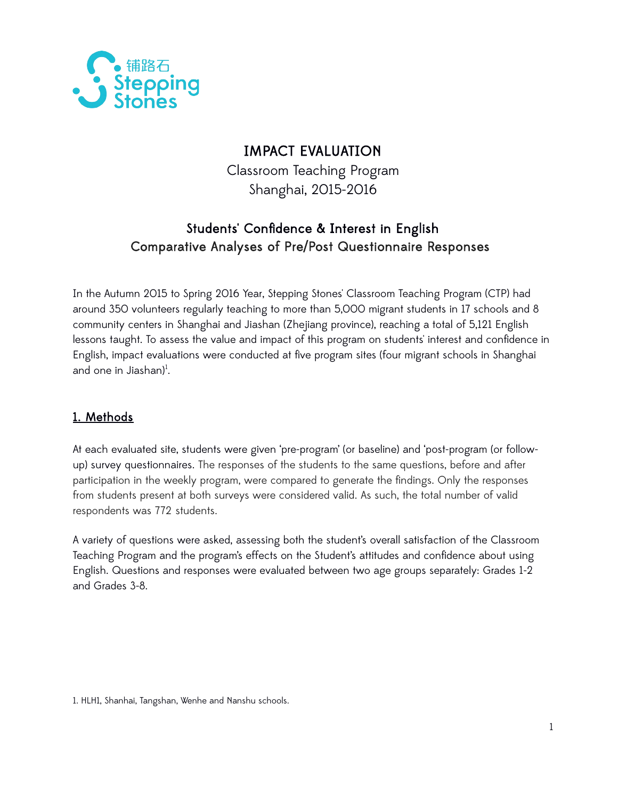

# IMPACT EVALUATION

Classroom Teaching Program Shanghai, 2015-2016

# Students' Confidence & Interest in English Comparative Analyses of Pre/Post Questionnaire Responses

In the Autumn 2015 to Spring 2016 Year, Stepping Stones' Classroom Teaching Program (CTP) had around 350 volunteers regularly teaching to more than 5,000 migrant students in 17 schools and 8 community centers in Shanghai and Jiashan (Zhejiang province), reaching a total of 5,121 English lessons taught. To assess the value and impact of this program on students' interest and confidence in English, impact evaluations were conducted at five program sites (four migrant schools in Shanghai and one in Jiashan)<sup>[1](#page-0-0)</sup>.

## 1. Methods

At each evaluated site, students were given 'pre-program' (or baseline) and 'post-program (or followup) survey questionnaires. The responses of the students to the same questions, before and after participation in the weekly program, were compared to generate the findings. Only the responses from students present at both surveys were considered valid. As such, the total number of valid respondents was 772 students.

A variety of questions were asked, assessing both the student's overall satisfaction of the Classroom Teaching Program and the program's effects on the Student's attitudes and confidence about using English. Questions and responses were evaluated between two age groups separately: Grades 1-2 and Grades 3-8.

<span id="page-0-0"></span>1. HLH1, Shanhai, Tangshan, Wenhe and Nanshu schools.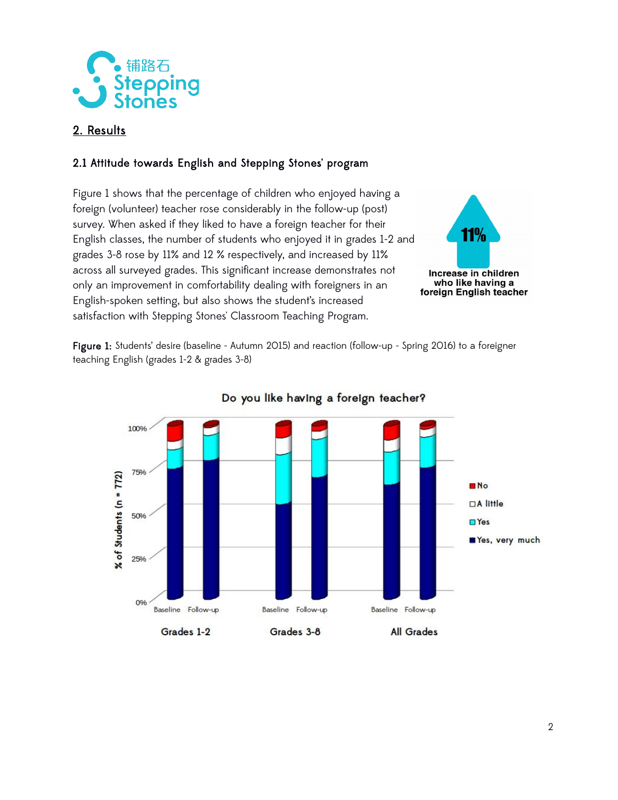

## 2. Results

### 2.1 Attitude towards English and Stepping Stones' program

Figure 1 shows that the percentage of children who enjoyed having a foreign (volunteer) teacher rose considerably in the follow-up (post) survey. When asked if they liked to have a foreign teacher for their **11%** English classes, the number of students who enjoyed it in grades 1-2 and grades 3-8 rose by 11% and 12 % respectively, and increased by 11% across all surveyed grades. This significant increase demonstrates not Increase in children who like having a only an improvement in comfortability dealing with foreigners in an foreign English teacher English-spoken setting, but also shows the student's increased satisfaction with Stepping Stones' Classroom Teaching Program.

Figure 1: Students' desire (baseline - Autumn 2015) and reaction (follow-up - Spring 2016) to a foreigner teaching English (grades 1-2 & grades 3-8)



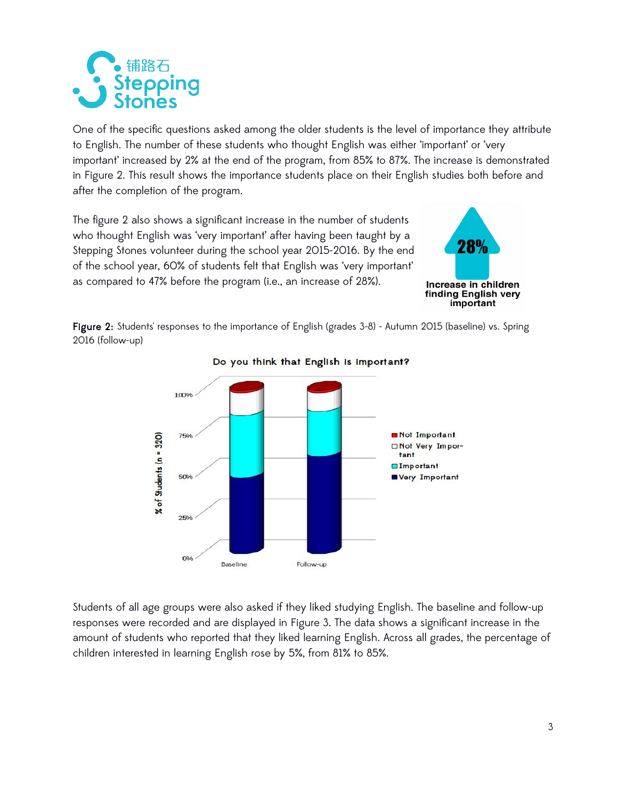

One of the specific questions asked among the older students is the level of importance they attribute to English. The number of these students who thought English was either 'important' or 'very important' increased by 2% at the end of the program, from 85% to 87%. The increase is demonstrated in Figure 2. This result shows the importance students place on their English studies both before and after the completion of the program.

The figure 2 also shows a significant increase in the number of students who thought English was 'very important' after having been taught by a Stepping Stones volunteer during the school year 2015-2016. By the end of the school year, 60% of students felt that English was 'very important' as compared to 47% before the program (i.e., an increase of 28%).



Figure 2: Students' responses to the importance of English (grades 3-8) - Autumn 2015 (baseline) vs. Spring 2016 (follow-up)



#### Do you think that English is important?

Students of all age groups were also asked if they liked studying English. The baseline and follow-up responses were recorded and are displayed in Figure 3. The data shows a significant increase in the amount of students who reported that they liked learning English. Across all grades, the percentage of children interested in learning English rose by 5%, from 81% to 85%.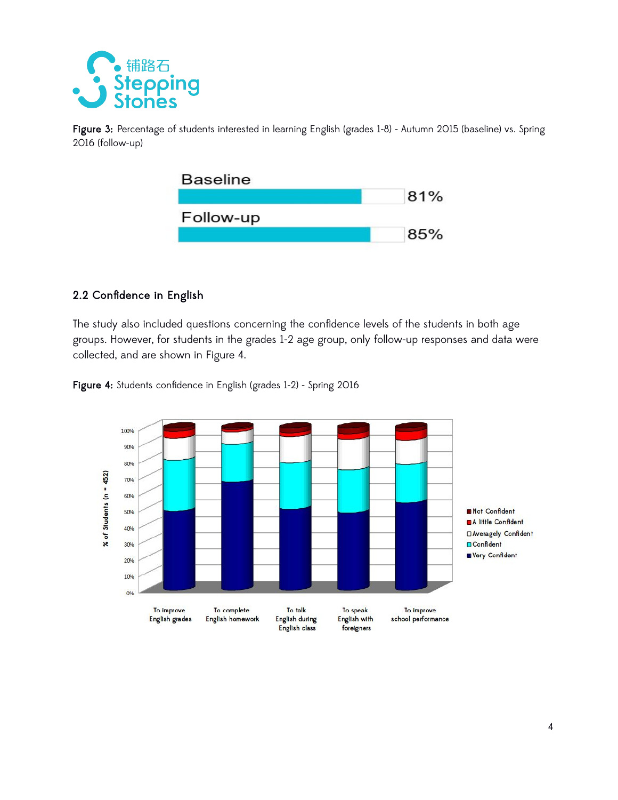

Figure 3: Percentage of students interested in learning English (grades 1-8) - Autumn 2015 (baseline) vs. Spring 2016 (follow-up)



#### 2.2 Confidence in English

The study also included questions concerning the confidence levels of the students in both age groups. However, for students in the grades 1-2 age group, only follow-up responses and data were collected, and are shown in Figure 4.



Figure 4: Students confidence in English (grades 1-2) - Spring 2016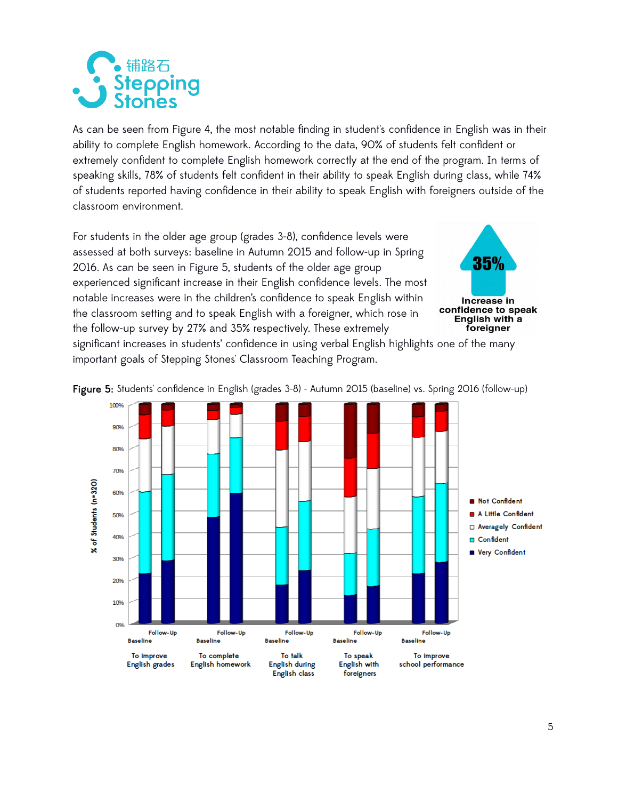

As can be seen from Figure 4, the most notable finding in student's confidence in English was in their ability to complete English homework. According to the data, 90% of students felt confident or extremely confident to complete English homework correctly at the end of the program. In terms of speaking skills, 78% of students felt confident in their ability to speak English during class, while 74% of students reported having confidence in their ability to speak English with foreigners outside of the classroom environment.

For students in the older age group (grades 3-8), confidence levels were assessed at both surveys: baseline in Autumn 2015 and follow-up in Spring 2016. As can be seen in Figure 5, students of the older age group experienced significant increase in their English confidence levels. The most notable increases were in the children's confidence to speak English within the classroom setting and to speak English with a foreigner, which rose in the follow-up survey by 27% and 35% respectively. These extremely



significant increases in students' confidence in using verbal English highlights one of the many important goals of Stepping Stones' Classroom Teaching Program.



Figure 5: Students' confidence in English (grades 3-8) - Autumn 2015 (baseline) vs. Spring 2016 (follow-up)